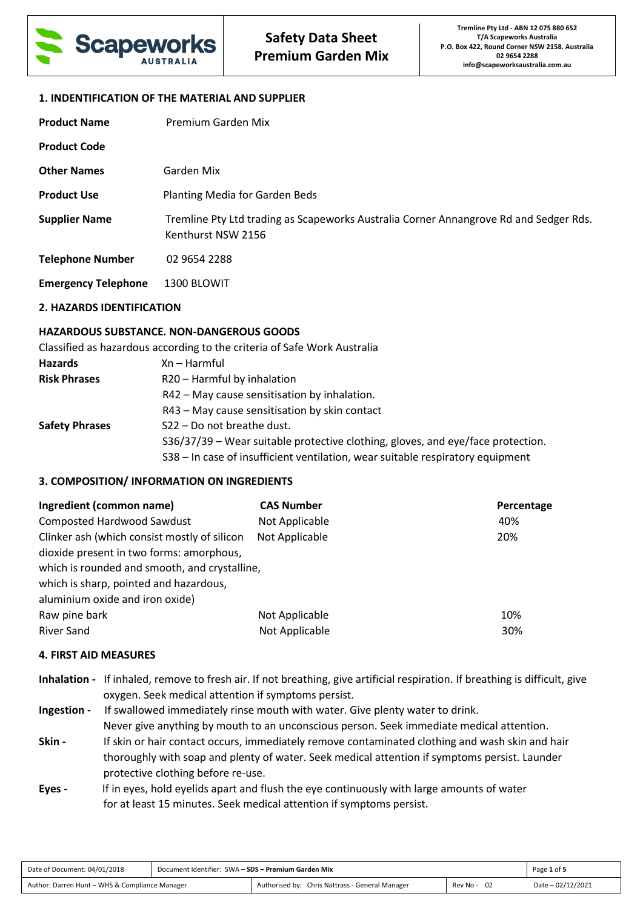

# **1. INDENTIFICATION OF THE MATERIAL AND SUPPLIER**

| <b>Product Name</b>        | Premium Garden Mix                                                                                          |
|----------------------------|-------------------------------------------------------------------------------------------------------------|
| <b>Product Code</b>        |                                                                                                             |
| <b>Other Names</b>         | Garden Mix                                                                                                  |
| <b>Product Use</b>         | Planting Media for Garden Beds                                                                              |
| <b>Supplier Name</b>       | Tremline Pty Ltd trading as Scapeworks Australia Corner Annangrove Rd and Sedger Rds.<br>Kenthurst NSW 2156 |
| <b>Telephone Number</b>    | 02 9654 2288                                                                                                |
| <b>Emergency Telephone</b> | 1300 BLOWIT                                                                                                 |

#### **2. HAZARDS IDENTIFICATION**

# **HAZARDOUS SUBSTANCE. NON-DANGEROUS GOODS**

|                       | Classified as hazardous according to the criteria of Safe Work Australia        |
|-----------------------|---------------------------------------------------------------------------------|
| Hazards               | Xn – Harmful                                                                    |
| <b>Risk Phrases</b>   | R20 - Harmful by inhalation                                                     |
|                       | R42 - May cause sensitisation by inhalation.                                    |
|                       | R43 - May cause sensitisation by skin contact                                   |
| <b>Safety Phrases</b> | S22 - Do not breathe dust.                                                      |
|                       | S36/37/39 - Wear suitable protective clothing, gloves, and eye/face protection. |

S38 – In case of insufficient ventilation, wear suitable respiratory equipment

# **3. COMPOSITION/ INFORMATION ON INGREDIENTS**

| Ingredient (common name)                      | <b>CAS Number</b> | Percentage |
|-----------------------------------------------|-------------------|------------|
| <b>Composted Hardwood Sawdust</b>             | Not Applicable    | 40%        |
| Clinker ash (which consist mostly of silicon  | Not Applicable    | 20%        |
| dioxide present in two forms: amorphous,      |                   |            |
| which is rounded and smooth, and crystalline, |                   |            |
| which is sharp, pointed and hazardous,        |                   |            |
| aluminium oxide and iron oxide)               |                   |            |
| Raw pine bark                                 | Not Applicable    | 10%        |
| <b>River Sand</b>                             | Not Applicable    | 30%        |

# **4. FIRST AID MEASURES**

- **Inhalation** If inhaled, remove to fresh air. If not breathing, give artificial respiration. If breathing is difficult, give oxygen. Seek medical attention if symptoms persist.
- **Ingestion** If swallowed immediately rinse mouth with water. Give plenty water to drink. Never give anything by mouth to an unconscious person. Seek immediate medical attention. **Skin -** If skin or hair contact occurs, immediately remove contaminated clothing and wash skin and hair thoroughly with soap and plenty of water. Seek medical attention if symptoms persist. Launder protective clothing before re-use.
- **Eyes** If in eyes, hold eyelids apart and flush the eye continuously with large amounts of water for at least 15 minutes. Seek medical attention if symptoms persist.

| Date of Document: 04/01/2018                   | Document Identifier: SWA - SDS - Premium Garden Mix |                                                 | Page 1 of 5      |                   |
|------------------------------------------------|-----------------------------------------------------|-------------------------------------------------|------------------|-------------------|
| Author: Darren Hunt - WHS & Compliance Manager |                                                     | Authorised by: Chris Nattrass - General Manager | - 02<br>Rev No - | Date - 02/12/2021 |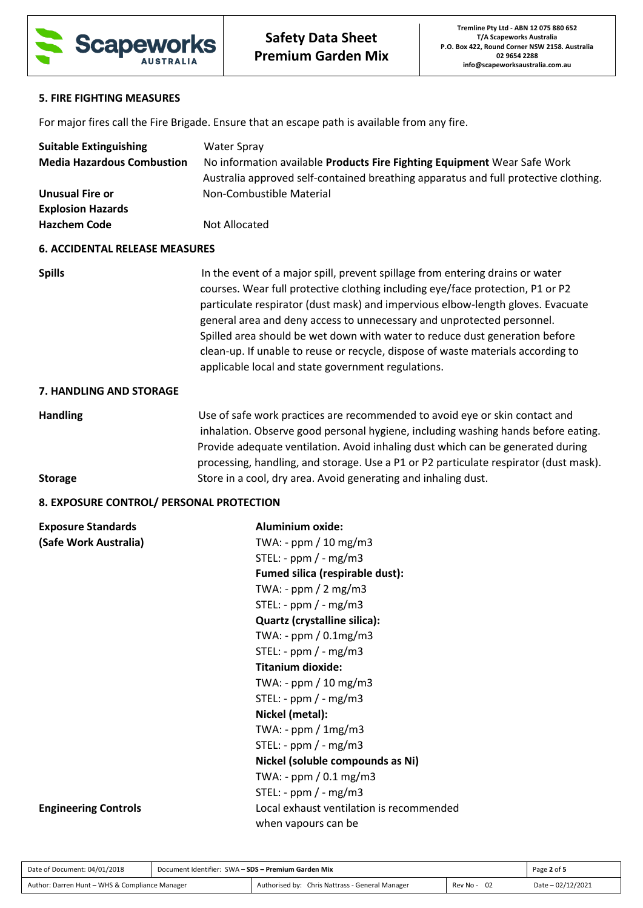

# **5. FIRE FIGHTING MEASURES**

For major fires call the Fire Brigade. Ensure that an escape path is available from any fire.

| <b>Suitable Extinguishing</b>            | <b>Water Spray</b>                                                                                                                                                                                                                                                                                                                                                                                                                                                                                                                                    |  |  |
|------------------------------------------|-------------------------------------------------------------------------------------------------------------------------------------------------------------------------------------------------------------------------------------------------------------------------------------------------------------------------------------------------------------------------------------------------------------------------------------------------------------------------------------------------------------------------------------------------------|--|--|
| <b>Media Hazardous Combustion</b>        | No information available Products Fire Fighting Equipment Wear Safe Work                                                                                                                                                                                                                                                                                                                                                                                                                                                                              |  |  |
|                                          | Australia approved self-contained breathing apparatus and full protective clothing.                                                                                                                                                                                                                                                                                                                                                                                                                                                                   |  |  |
| <b>Unusual Fire or</b>                   | Non-Combustible Material                                                                                                                                                                                                                                                                                                                                                                                                                                                                                                                              |  |  |
| <b>Explosion Hazards</b>                 |                                                                                                                                                                                                                                                                                                                                                                                                                                                                                                                                                       |  |  |
| <b>Hazchem Code</b>                      | Not Allocated                                                                                                                                                                                                                                                                                                                                                                                                                                                                                                                                         |  |  |
| <b>6. ACCIDENTAL RELEASE MEASURES</b>    |                                                                                                                                                                                                                                                                                                                                                                                                                                                                                                                                                       |  |  |
| <b>Spills</b>                            | In the event of a major spill, prevent spillage from entering drains or water<br>courses. Wear full protective clothing including eye/face protection, P1 or P2<br>particulate respirator (dust mask) and impervious elbow-length gloves. Evacuate<br>general area and deny access to unnecessary and unprotected personnel.<br>Spilled area should be wet down with water to reduce dust generation before<br>clean-up. If unable to reuse or recycle, dispose of waste materials according to<br>applicable local and state government regulations. |  |  |
| 7. HANDLING AND STORAGE                  |                                                                                                                                                                                                                                                                                                                                                                                                                                                                                                                                                       |  |  |
| <b>Handling</b>                          | Use of safe work practices are recommended to avoid eye or skin contact and<br>inhalation. Observe good personal hygiene, including washing hands before eating.<br>Provide adequate ventilation. Avoid inhaling dust which can be generated during<br>processing, handling, and storage. Use a P1 or P2 particulate respirator (dust mask).                                                                                                                                                                                                          |  |  |
| <b>Storage</b>                           | Store in a cool, dry area. Avoid generating and inhaling dust.                                                                                                                                                                                                                                                                                                                                                                                                                                                                                        |  |  |
| 8. EXPOSURE CONTROL/ PERSONAL PROTECTION |                                                                                                                                                                                                                                                                                                                                                                                                                                                                                                                                                       |  |  |
| <b>Exposure Standards</b>                | <b>Aluminium oxide:</b>                                                                                                                                                                                                                                                                                                                                                                                                                                                                                                                               |  |  |
| (Safe Work Australia)                    | TWA: - ppm / 10 mg/m3                                                                                                                                                                                                                                                                                                                                                                                                                                                                                                                                 |  |  |
|                                          | STEL: - $ppm$ / - $mg/m3$                                                                                                                                                                                                                                                                                                                                                                                                                                                                                                                             |  |  |
|                                          | Fumed silica (respirable dust):                                                                                                                                                                                                                                                                                                                                                                                                                                                                                                                       |  |  |
|                                          | TWA: - $ppm / 2 mg/m3$                                                                                                                                                                                                                                                                                                                                                                                                                                                                                                                                |  |  |
|                                          | STEL: - $ppm / - mg/m3$                                                                                                                                                                                                                                                                                                                                                                                                                                                                                                                               |  |  |
|                                          | Quartz (crystalline silica):                                                                                                                                                                                                                                                                                                                                                                                                                                                                                                                          |  |  |
|                                          | TWA: - ppm / 0.1mg/m3                                                                                                                                                                                                                                                                                                                                                                                                                                                                                                                                 |  |  |
|                                          | STEL: - $ppm$ / - $mg/m3$                                                                                                                                                                                                                                                                                                                                                                                                                                                                                                                             |  |  |
|                                          | <b>Titanium dioxide:</b>                                                                                                                                                                                                                                                                                                                                                                                                                                                                                                                              |  |  |
|                                          | TWA: - $ppm / 10 mg/m3$                                                                                                                                                                                                                                                                                                                                                                                                                                                                                                                               |  |  |
|                                          | STEL: - $ppm$ / - $mg/m3$                                                                                                                                                                                                                                                                                                                                                                                                                                                                                                                             |  |  |
|                                          | Nickel (metal):                                                                                                                                                                                                                                                                                                                                                                                                                                                                                                                                       |  |  |
|                                          | TWA: - $ppm / 1mg/m3$                                                                                                                                                                                                                                                                                                                                                                                                                                                                                                                                 |  |  |
|                                          | STEL: - $ppm$ / - $mg/m3$                                                                                                                                                                                                                                                                                                                                                                                                                                                                                                                             |  |  |
|                                          | Nickel (soluble compounds as Ni)                                                                                                                                                                                                                                                                                                                                                                                                                                                                                                                      |  |  |
|                                          | TWA: - $ppm / 0.1 mg/m3$                                                                                                                                                                                                                                                                                                                                                                                                                                                                                                                              |  |  |
|                                          | STEL: - $ppm$ / - $mg/m3$                                                                                                                                                                                                                                                                                                                                                                                                                                                                                                                             |  |  |
| <b>Engineering Controls</b>              | Local exhaust ventilation is recommended                                                                                                                                                                                                                                                                                                                                                                                                                                                                                                              |  |  |
|                                          | when vapours can be                                                                                                                                                                                                                                                                                                                                                                                                                                                                                                                                   |  |  |

| Date of Document: 04/01/2018                   | Document Identifier: SWA - SDS - Premium Garden Mix |                                                 | Page 2 of 5    |                   |
|------------------------------------------------|-----------------------------------------------------|-------------------------------------------------|----------------|-------------------|
| Author: Darren Hunt - WHS & Compliance Manager |                                                     | Authorised by: Chris Nattrass - General Manager | 02<br>Rev No - | Date - 02/12/2021 |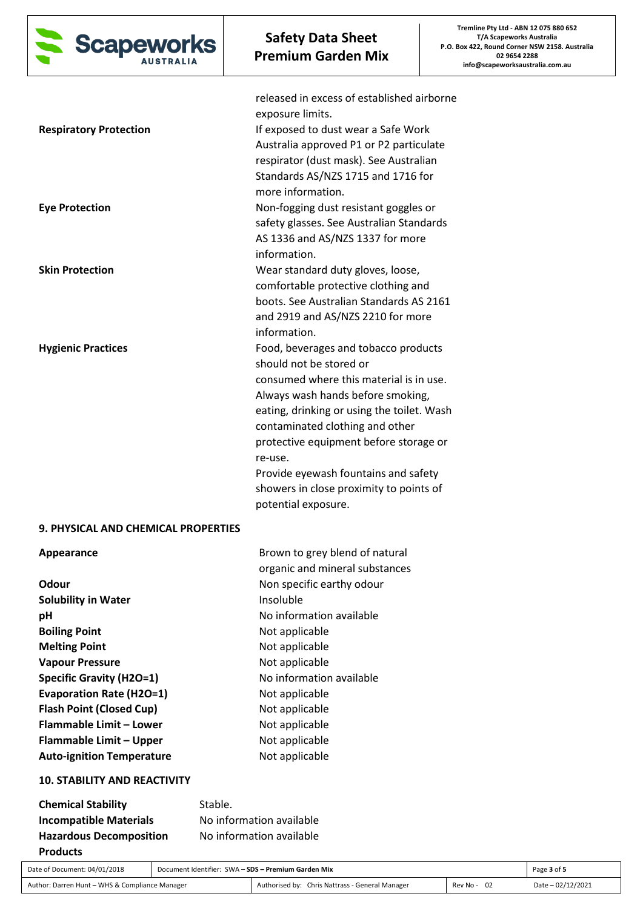

|                                     | released in excess of established airborne<br>exposure limits.               |
|-------------------------------------|------------------------------------------------------------------------------|
| <b>Respiratory Protection</b>       | If exposed to dust wear a Safe Work                                          |
|                                     | Australia approved P1 or P2 particulate                                      |
|                                     | respirator (dust mask). See Australian<br>Standards AS/NZS 1715 and 1716 for |
|                                     | more information.                                                            |
| <b>Eye Protection</b>               | Non-fogging dust resistant goggles or                                        |
|                                     | safety glasses. See Australian Standards                                     |
|                                     | AS 1336 and AS/NZS 1337 for more                                             |
|                                     | information.                                                                 |
| <b>Skin Protection</b>              | Wear standard duty gloves, loose,                                            |
|                                     | comfortable protective clothing and                                          |
|                                     | boots. See Australian Standards AS 2161                                      |
|                                     | and 2919 and AS/NZS 2210 for more                                            |
|                                     | information.                                                                 |
| <b>Hygienic Practices</b>           | Food, beverages and tobacco products                                         |
|                                     | should not be stored or                                                      |
|                                     | consumed where this material is in use.                                      |
|                                     | Always wash hands before smoking,                                            |
|                                     | eating, drinking or using the toilet. Wash                                   |
|                                     | contaminated clothing and other                                              |
|                                     | protective equipment before storage or                                       |
|                                     | re-use.                                                                      |
|                                     | Provide eyewash fountains and safety                                         |
|                                     | showers in close proximity to points of                                      |
|                                     | potential exposure.                                                          |
| 9. PHYSICAL AND CHEMICAL PROPERTIES |                                                                              |
| Appearance                          | Brown to grey blend of natural                                               |
|                                     | organic and mineral substances                                               |
| Odour                               | Non specific earthy odour                                                    |

| Odour                            | Non specific earthy odour |
|----------------------------------|---------------------------|
| <b>Solubility in Water</b>       | Insoluble                 |
| рH                               | No information available  |
| <b>Boiling Point</b>             | Not applicable            |
| <b>Melting Point</b>             | Not applicable            |
| <b>Vapour Pressure</b>           | Not applicable            |
| <b>Specific Gravity (H2O=1)</b>  | No information available  |
| <b>Evaporation Rate (H2O=1)</b>  | Not applicable            |
| <b>Flash Point (Closed Cup)</b>  | Not applicable            |
| Flammable Limit - Lower          | Not applicable            |
| Flammable Limit - Upper          | Not applicable            |
| <b>Auto-ignition Temperature</b> | Not applicable            |

# **10. STABILITY AND REACTIVITY**

| <b>Chemical Stability</b>      | Stable.                  |
|--------------------------------|--------------------------|
| <b>Incompatible Materials</b>  | No information available |
| <b>Hazardous Decomposition</b> | No information available |
| <b>Products</b>                |                          |

| Date of Document: 04/01/2018                   | Document Identifier: SWA - SDS - Premium Garden Mix |                                                 | Page 3 of 5 |                   |
|------------------------------------------------|-----------------------------------------------------|-------------------------------------------------|-------------|-------------------|
| Author: Darren Hunt - WHS & Compliance Manager |                                                     | Authorised by: Chris Nattrass - General Manager | Rev No - 02 | Date - 02/12/2021 |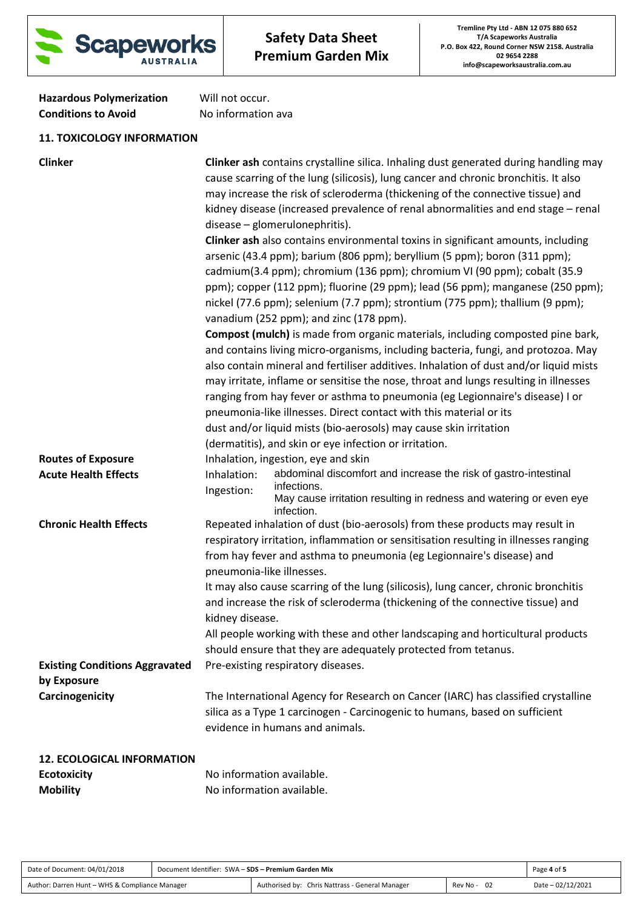

| <b>Hazardous Polymerization</b> | Will not occur.    |
|---------------------------------|--------------------|
| <b>Conditions to Avoid</b>      | No information ava |

# **11. TOXICOLOGY INFORMATION**

| <b>Clinker</b>                        |                                              | <b>Clinker ash contains crystalline silica. Inhaling dust generated during handling may</b><br>cause scarring of the lung (silicosis), lung cancer and chronic bronchitis. It also<br>may increase the risk of scleroderma (thickening of the connective tissue) and<br>kidney disease (increased prevalence of renal abnormalities and end stage - renal<br>disease - glomerulonephritis).<br>Clinker ash also contains environmental toxins in significant amounts, including<br>arsenic (43.4 ppm); barium (806 ppm); beryllium (5 ppm); boron (311 ppm);<br>cadmium(3.4 ppm); chromium (136 ppm); chromium VI (90 ppm); cobalt (35.9<br>ppm); copper (112 ppm); fluorine (29 ppm); lead (56 ppm); manganese (250 ppm);<br>nickel (77.6 ppm); selenium (7.7 ppm); strontium (775 ppm); thallium (9 ppm);<br>vanadium (252 ppm); and zinc (178 ppm).<br><b>Compost (mulch)</b> is made from organic materials, including composted pine bark, |
|---------------------------------------|----------------------------------------------|-------------------------------------------------------------------------------------------------------------------------------------------------------------------------------------------------------------------------------------------------------------------------------------------------------------------------------------------------------------------------------------------------------------------------------------------------------------------------------------------------------------------------------------------------------------------------------------------------------------------------------------------------------------------------------------------------------------------------------------------------------------------------------------------------------------------------------------------------------------------------------------------------------------------------------------------------|
|                                       |                                              | and contains living micro-organisms, including bacteria, fungi, and protozoa. May<br>also contain mineral and fertiliser additives. Inhalation of dust and/or liquid mists<br>may irritate, inflame or sensitise the nose, throat and lungs resulting in illnesses<br>ranging from hay fever or asthma to pneumonia (eg Legionnaire's disease) I or<br>pneumonia-like illnesses. Direct contact with this material or its                                                                                                                                                                                                                                                                                                                                                                                                                                                                                                                       |
|                                       |                                              | dust and/or liquid mists (bio-aerosols) may cause skin irritation                                                                                                                                                                                                                                                                                                                                                                                                                                                                                                                                                                                                                                                                                                                                                                                                                                                                               |
|                                       |                                              | (dermatitis), and skin or eye infection or irritation.                                                                                                                                                                                                                                                                                                                                                                                                                                                                                                                                                                                                                                                                                                                                                                                                                                                                                          |
| <b>Routes of Exposure</b>             |                                              | Inhalation, ingestion, eye and skin                                                                                                                                                                                                                                                                                                                                                                                                                                                                                                                                                                                                                                                                                                                                                                                                                                                                                                             |
| <b>Acute Health Effects</b>           | Inhalation:<br>Ingestion:                    | abdominal discomfort and increase the risk of gastro-intestinal<br>infections.<br>May cause irritation resulting in redness and watering or even eye<br>infection.                                                                                                                                                                                                                                                                                                                                                                                                                                                                                                                                                                                                                                                                                                                                                                              |
| <b>Chronic Health Effects</b>         | pneumonia-like illnesses.<br>kidney disease. | Repeated inhalation of dust (bio-aerosols) from these products may result in<br>respiratory irritation, inflammation or sensitisation resulting in illnesses ranging<br>from hay fever and asthma to pneumonia (eg Legionnaire's disease) and<br>It may also cause scarring of the lung (silicosis), lung cancer, chronic bronchitis<br>and increase the risk of scleroderma (thickening of the connective tissue) and<br>All people working with these and other landscaping and horticultural products<br>should ensure that they are adequately protected from tetanus.                                                                                                                                                                                                                                                                                                                                                                      |
| <b>Existing Conditions Aggravated</b> |                                              | Pre-existing respiratory diseases.                                                                                                                                                                                                                                                                                                                                                                                                                                                                                                                                                                                                                                                                                                                                                                                                                                                                                                              |
| by Exposure                           |                                              |                                                                                                                                                                                                                                                                                                                                                                                                                                                                                                                                                                                                                                                                                                                                                                                                                                                                                                                                                 |
| Carcinogenicity                       |                                              | The International Agency for Research on Cancer (IARC) has classified crystalline<br>silica as a Type 1 carcinogen - Carcinogenic to humans, based on sufficient<br>evidence in humans and animals.                                                                                                                                                                                                                                                                                                                                                                                                                                                                                                                                                                                                                                                                                                                                             |
| <b>12. ECOLOGICAL INFORMATION</b>     |                                              |                                                                                                                                                                                                                                                                                                                                                                                                                                                                                                                                                                                                                                                                                                                                                                                                                                                                                                                                                 |
| <b>Ecotoxicity</b>                    | No information available.                    |                                                                                                                                                                                                                                                                                                                                                                                                                                                                                                                                                                                                                                                                                                                                                                                                                                                                                                                                                 |

**Mobility Mobility No information available.** 

| Date of Document: 04/01/2018                   | Document Identifier: SWA - SDS - Premium Garden Mix |                                                 |                 | Page 4 of 5       |
|------------------------------------------------|-----------------------------------------------------|-------------------------------------------------|-----------------|-------------------|
| Author: Darren Hunt - WHS & Compliance Manager |                                                     | Authorised by: Chris Nattrass - General Manager | -02<br>Rev No - | Date - 02/12/2021 |